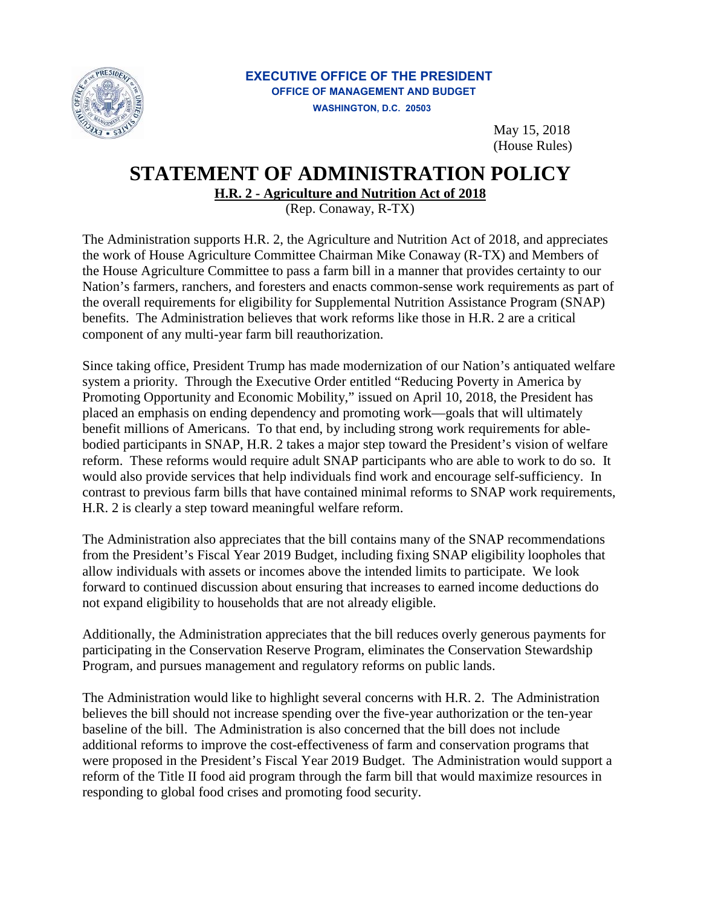

## **EXECUTIVE OFFICE OF THE PRESIDENT OFFICE OF MANAGEMENT AND BUDGET WASHINGTON, D.C. 20503**

May 15, 2018 (House Rules)

## **STATEMENT OF ADMINISTRATION POLICY**

**H.R. 2 - Agriculture and Nutrition Act of 2018**

(Rep. Conaway, R-TX)

The Administration supports H.R. 2, the Agriculture and Nutrition Act of 2018, and appreciates the work of House Agriculture Committee Chairman Mike Conaway (R-TX) and Members of the House Agriculture Committee to pass a farm bill in a manner that provides certainty to our Nation's farmers, ranchers, and foresters and enacts common-sense work requirements as part of the overall requirements for eligibility for Supplemental Nutrition Assistance Program (SNAP) benefits. The Administration believes that work reforms like those in H.R. 2 are a critical component of any multi-year farm bill reauthorization.

Since taking office, President Trump has made modernization of our Nation's antiquated welfare system a priority. Through the Executive Order entitled "Reducing Poverty in America by Promoting Opportunity and Economic Mobility," issued on April 10, 2018, the President has placed an emphasis on ending dependency and promoting work—goals that will ultimately benefit millions of Americans. To that end, by including strong work requirements for ablebodied participants in SNAP, H.R. 2 takes a major step toward the President's vision of welfare reform. These reforms would require adult SNAP participants who are able to work to do so. It would also provide services that help individuals find work and encourage self-sufficiency. In contrast to previous farm bills that have contained minimal reforms to SNAP work requirements, H.R. 2 is clearly a step toward meaningful welfare reform.

The Administration also appreciates that the bill contains many of the SNAP recommendations from the President's Fiscal Year 2019 Budget, including fixing SNAP eligibility loopholes that allow individuals with assets or incomes above the intended limits to participate. We look forward to continued discussion about ensuring that increases to earned income deductions do not expand eligibility to households that are not already eligible.

Additionally, the Administration appreciates that the bill reduces overly generous payments for participating in the Conservation Reserve Program, eliminates the Conservation Stewardship Program, and pursues management and regulatory reforms on public lands.

The Administration would like to highlight several concerns with H.R. 2. The Administration believes the bill should not increase spending over the five-year authorization or the ten-year baseline of the bill. The Administration is also concerned that the bill does not include additional reforms to improve the cost-effectiveness of farm and conservation programs that were proposed in the President's Fiscal Year 2019 Budget. The Administration would support a reform of the Title II food aid program through the farm bill that would maximize resources in responding to global food crises and promoting food security.